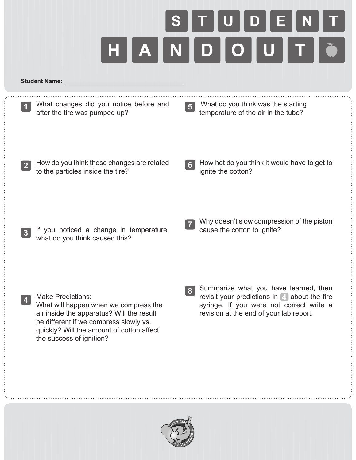

## **Student Name:**

|                | What changes did you notice before and<br>after the tire was pumped up?                                                                                                                                                           | 5 <sup>1</sup> | What do you think was the starting<br>temperature of the air in the tube?                                                                                                              |
|----------------|-----------------------------------------------------------------------------------------------------------------------------------------------------------------------------------------------------------------------------------|----------------|----------------------------------------------------------------------------------------------------------------------------------------------------------------------------------------|
| $\overline{2}$ | How do you think these changes are related<br>to the particles inside the tire?                                                                                                                                                   | 6 <sup>1</sup> | How hot do you think it would have to get to<br>ignite the cotton?                                                                                                                     |
| $\mathbf{3}$   | If you noticed a change in temperature,<br>what do you think caused this?                                                                                                                                                         | $\mathcal{L}$  | Why doesn't slow compression of the piston<br>cause the cotton to ignite?                                                                                                              |
| 4              | <b>Make Predictions:</b><br>What will happen when we compress the<br>air inside the apparatus? Will the result<br>be different if we compress slowly vs.<br>quickly? Will the amount of cotton affect<br>the success of ignition? | 8 <sup>1</sup> | Summarize what you have learned, then<br>revisit your predictions in $\boxed{4}$ about the fire<br>syringe. If you were not correct write a<br>revision at the end of your lab report. |
|                |                                                                                                                                                                                                                                   |                |                                                                                                                                                                                        |